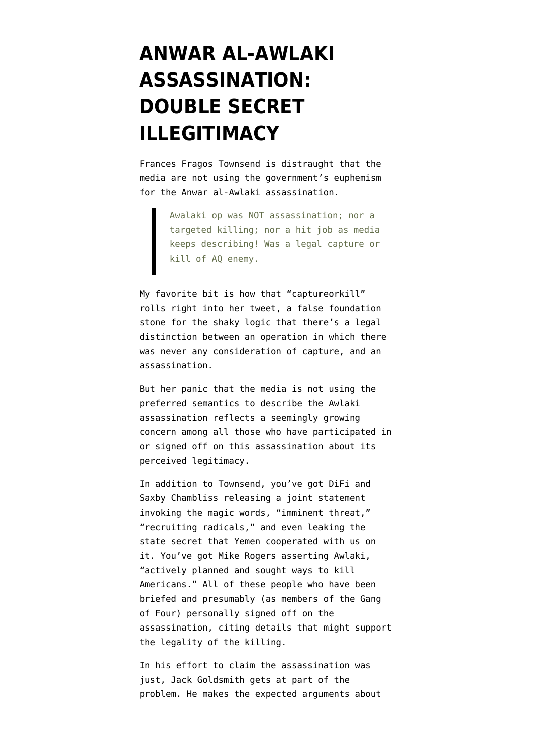## **[ANWAR AL-AWLAKI](https://www.emptywheel.net/2011/10/01/anwar-al-awlaki-assassination-double-secret-illegitimacy/) [ASSASSINATION:](https://www.emptywheel.net/2011/10/01/anwar-al-awlaki-assassination-double-secret-illegitimacy/) [DOUBLE SECRET](https://www.emptywheel.net/2011/10/01/anwar-al-awlaki-assassination-double-secret-illegitimacy/) [ILLEGITIMACY](https://www.emptywheel.net/2011/10/01/anwar-al-awlaki-assassination-double-secret-illegitimacy/)**

Frances Fragos Townsend [is distraught](http://twitter.com/FranTownsend/statuses/119901774885814272) that the media are not using the government's euphemism for the Anwar al-Awlaki assassination.

> Awalaki op was NOT assassination; nor a targeted killing; nor a hit job as media keeps describing! Was a legal capture or kill of AQ enemy.

My favorite bit is how that "captureorkill" rolls right into her tweet, a false foundation stone for the shaky logic that there's a legal distinction between an operation in which there was never any consideration of capture, and an assassination.

But her panic that the media is not using the preferred semantics to describe the Awlaki assassination reflects a seemingly growing concern among all those who have participated in or signed off on this assassination about its perceived legitimacy.

In addition to Townsend, you've got DiFi and Saxby Chambliss releasing a [joint statement](http://feinstein.senate.gov/public/index.cfm/press-releases?ID=08023496-6f2d-4600-af42-ec642488cea9) invoking the magic words, "imminent threat," "recruiting radicals," and even leaking [the](http://www.emptywheel.net/2011/09/30/lots-of-senior-officials-spilling-state-secrets-today/) [state secret](http://www.emptywheel.net/2011/09/30/lots-of-senior-officials-spilling-state-secrets-today/) that Yemen cooperated with us on it. You've got Mike Rogers [asserting](http://mikerogers.house.gov/News/DocumentSingle.aspx?DocumentID=262403) Awlaki, "actively planned and sought ways to kill Americans." All of these people who have been briefed and presumably (as members of the Gang of Four) personally signed off on the assassination, citing details that might support the legality of the killing.

In his effort to claim the assassination was just, Jack Goldsmith [gets at](https://www.nytimes.com/2011/10/01/opinion/a-just-act-of-war.html) part of the problem. He makes the expected arguments about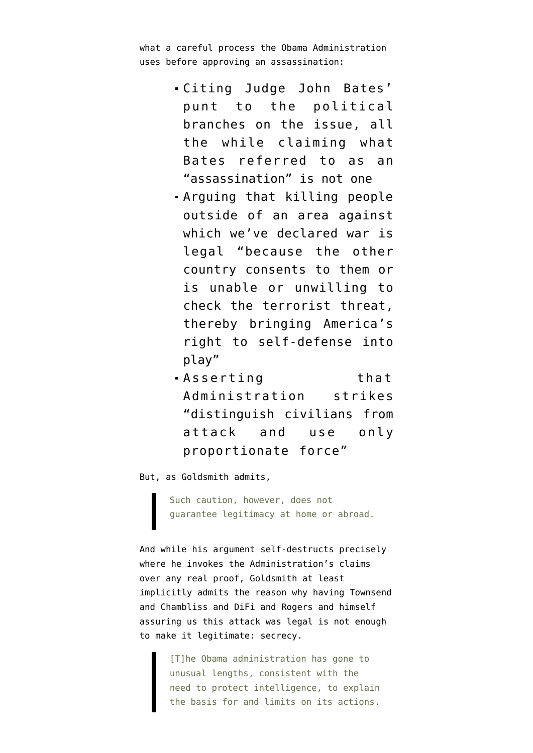what a careful process the Obama Administration uses before approving an assassination:

- Citing [Judge John Bates'](http://www.emptywheel.net/2010/12/07/as-expected-judge-bates-punts-on-rule-of-law/) [punt](http://www.emptywheel.net/2010/12/07/as-expected-judge-bates-punts-on-rule-of-law/) to the political branches on the issue, all the while claiming what Bates referred to as an "assassination" is not one
- Arguing that killing people outside of an area against which we've declared war is legal "because the other country consents to them or is unable or unwilling to check the terrorist threat, thereby bringing America's right to self-defense into play"
- **Asserting** that Administration strikes "distinguish civilians from attack and use only proportionate force"

But, as Goldsmith admits,

Such caution, however, does not guarantee legitimacy at home or abroad.

And while his argument self-destructs precisely where he invokes the Administration's claims over any real proof, Goldsmith at least implicitly admits the reason why having Townsend and Chambliss and DiFi and Rogers and himself assuring us this attack was legal is not enough to make it legitimate: secrecy.

> [T]he Obama administration has gone to unusual lengths, consistent with the need to protect intelligence, to explain the basis for and limits on its actions.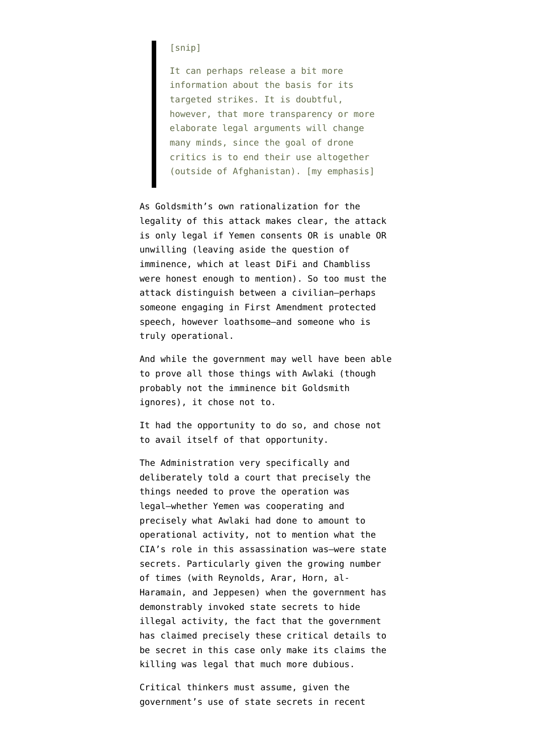## [snip]

It can perhaps release a bit more information about the basis for its targeted strikes. It is doubtful, however, that more transparency or more elaborate legal arguments will change many minds, since the goal of drone critics is to end their use altogether (outside of Afghanistan). [my emphasis]

As Goldsmith's own rationalization for the legality of this attack makes clear, the attack is only legal if Yemen consents OR is unable OR unwilling (leaving aside the question of imminence, which at least DiFi and Chambliss were honest enough to mention). So too must the attack distinguish between a civilian–perhaps someone engaging in First Amendment protected speech, however loathsome–and someone who is truly operational.

And while the government may well have been able to prove all those things with Awlaki (though probably not the imminence bit Goldsmith ignores), it chose not to.

It had the opportunity to do so, and chose not to avail itself of that opportunity.

The Administration very specifically and deliberately [told a court](http://www.emptywheel.net/2011/09/30/lots-of-senior-officials-spilling-state-secrets-today/) that precisely the things needed to prove the operation was legal–whether Yemen was cooperating and precisely what Awlaki had done to amount to operational activity, not to mention what the CIA's role in this assassination was–were state secrets. Particularly given the growing number of times (with Reynolds, Arar, Horn, al-Haramain, and Jeppesen) when the government has demonstrably invoked state secrets to hide illegal activity, the fact that the government has claimed precisely these critical details to be secret in this case only make its claims the killing was legal that much more dubious.

Critical thinkers must assume, given the government's use of state secrets in recent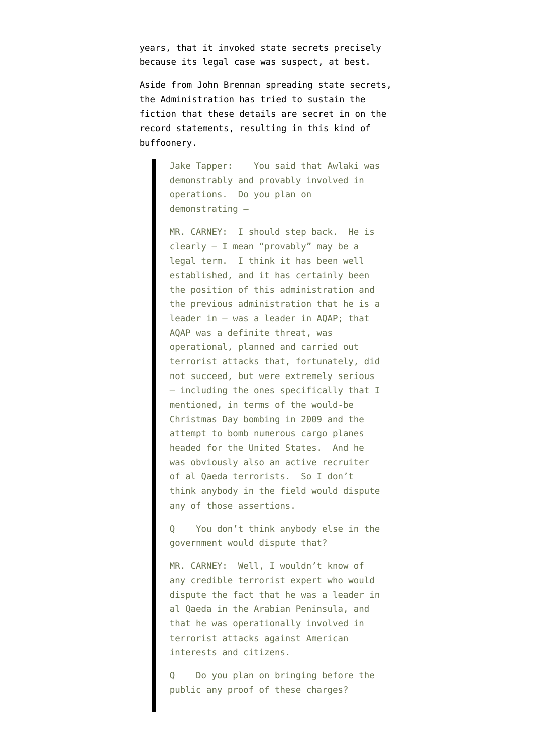years, that it invoked state secrets precisely because its legal case was suspect, at best.

Aside from [John Brennan spreading state secrets,](http://www.foxnews.com/politics/2011/09/30/us-born-terror-boss-anwar-al-awlaki-killed/) the Administration has tried to sustain the fiction that these details are secret in on the record statements, resulting in [this kind](http://abcnews.go.com/blogs/politics/2011/09/todays-qs-for-os-wh-9302011/) of buffoonery.

> Jake Tapper: You said that Awlaki was demonstrably and provably involved in operations. Do you plan on demonstrating —

> MR. CARNEY: I should step back. He is clearly — I mean "provably" may be a legal term. I think it has been well established, and it has certainly been the position of this administration and the previous administration that he is a leader in — was a leader in AQAP; that AQAP was a definite threat, was operational, planned and carried out terrorist attacks that, fortunately, did not succeed, but were extremely serious — including the ones specifically that I mentioned, in terms of the would-be Christmas Day bombing in 2009 and the attempt to bomb numerous cargo planes headed for the United States. And he was obviously also an active recruiter of al Qaeda terrorists. So I don't think anybody in the field would dispute any of those assertions.

> You don't think anybody else in the government would dispute that?

> MR. CARNEY: Well, I wouldn't know of any credible terrorist expert who would dispute the fact that he was a leader in al Qaeda in the Arabian Peninsula, and that he was operationally involved in terrorist attacks against American interests and citizens.

Do you plan on bringing before the public any proof of these charges?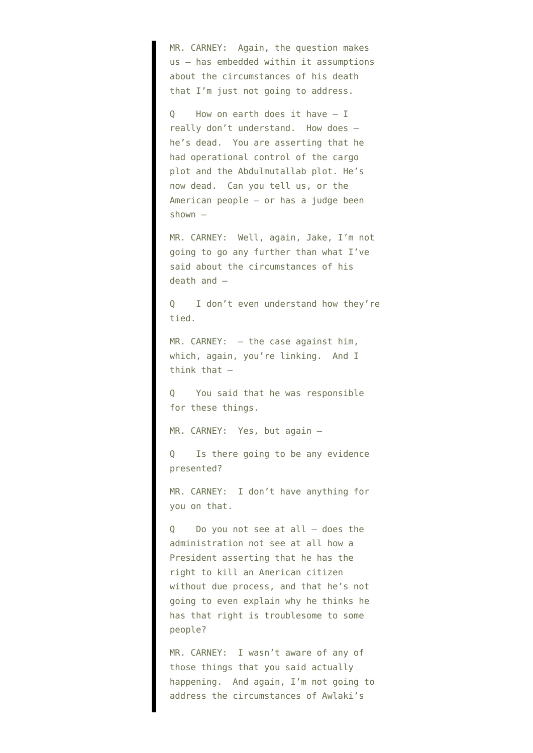MR. CARNEY: Again, the question makes us — has embedded within it assumptions about the circumstances of his death that I'm just not going to address.

Q How on earth does it have — I really don't understand. How does he's dead. You are asserting that he had operational control of the cargo plot and the Abdulmutallab plot. He's now dead. Can you tell us, or the American people — or has a judge been shown —

MR. CARNEY: Well, again, Jake, I'm not going to go any further than what I've said about the circumstances of his death and —

Q I don't even understand how they're tied.

MR. CARNEY: - the case against him, which, again, you're linking. And I think that —

Q You said that he was responsible for these things.

MR. CARNEY: Yes, but again —

Is there going to be any evidence presented?

MR. CARNEY: I don't have anything for you on that.

Q Do you not see at all — does the administration not see at all how a President asserting that he has the right to kill an American citizen without due process, and that he's not going to even explain why he thinks he has that right is troublesome to some people?

MR. CARNEY: I wasn't aware of any of those things that you said actually happening. And again, I'm not going to address the circumstances of Awlaki's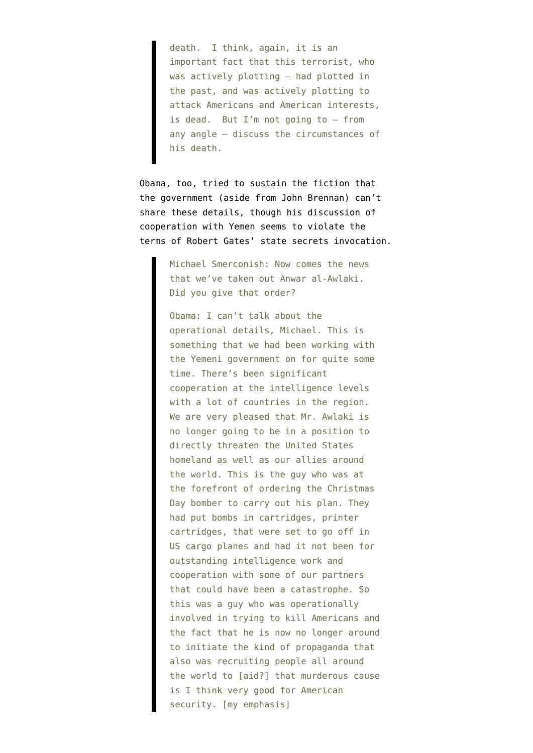death. I think, again, it is an important fact that this terrorist, who was actively plotting — had plotted in the past, and was actively plotting to attack Americans and American interests, is dead. But I'm not going to — from any angle — discuss the circumstances of his death.

Obama, too, [tried to sustain](http://www.msnbc.msn.com/id/21134540/vp/44733748#44733748) the fiction that the government (aside from John Brennan) can't share these details, though his discussion of cooperation with Yemen seems to violate the terms of Robert Gates' state secrets [invocation.](http://static1.firedoglake.com/28/files/2010/09/100925-Al-Aulaqi-Public-SecDef-Gates-.pdf)

> Michael Smerconish: Now comes the news that we've taken out Anwar al-Awlaki. Did you give that order?

Obama: I can't talk about the operational details, Michael. This is something that we had been working with the Yemeni government on for quite some time. There's been significant cooperation at the intelligence levels with a lot of countries in the region. We are very pleased that Mr. Awlaki is no longer going to be in a position to directly threaten the United States homeland as well as our allies around the world. This is the guy who was at the forefront of ordering the Christmas Day bomber to carry out his plan. They had put bombs in cartridges, printer cartridges, that were set to go off in US cargo planes and had it not been for outstanding intelligence work and cooperation with some of our partners that could have been a catastrophe. So this was a guy who was operationally involved in trying to kill Americans and the fact that he is now no longer around to initiate the kind of propaganda that also was recruiting people all around the world to [aid?] that murderous cause is I think very good for American security. [my emphasis]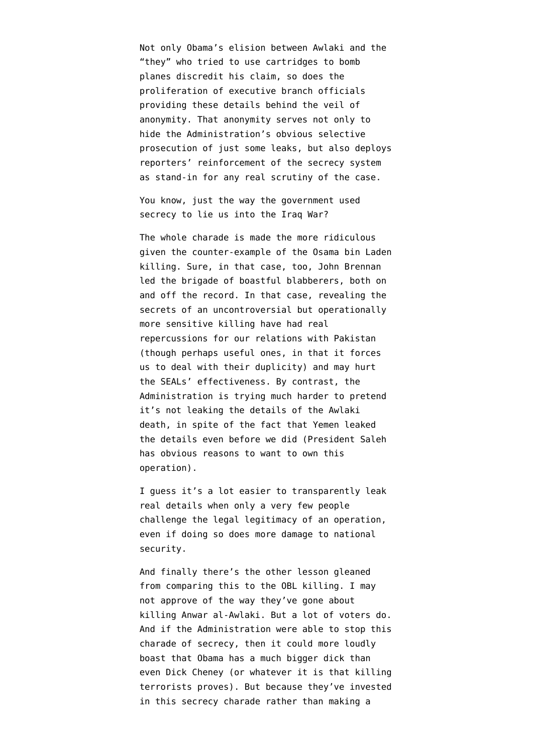Not only Obama's elision between Awlaki and the "they" who tried to use cartridges to bomb planes discredit his claim, so does the proliferation of executive branch officials [providing](http://www.washingtonpost.com/world/national-security/aulaqi-killing-reignites-debate-on-limits-of-executive-power/2011/09/30/gIQAx1bUAL_story.html) these details behind the veil of anonymity. That anonymity serves not only to hide the Administration's obvious selective prosecution of just some leaks, but also deploys reporters' reinforcement of the secrecy system as stand-in for any real scrutiny of the case.

You know, just the way the government used secrecy to lie us into the Iraq War?

The whole charade is made the more ridiculous given the counter-example of the Osama bin Laden killing. Sure, in that case, too, John Brennan led the brigade of boastful blabberers, both [on](http://www.emptywheel.net/2011/08/05/john-brennan-immunizing-the-truth/) [and off the record.](http://www.emptywheel.net/2011/08/05/john-brennan-immunizing-the-truth/) In that case, revealing the secrets of an uncontroversial but operationally more sensitive killing have had real repercussions for our relations with Pakistan (though perhaps useful ones, in that it forces us to deal with their duplicity) and may hurt the SEALs' effectiveness. By contrast, the Administration is trying much harder to pretend it's not leaking the details of the Awlaki death, in spite of the fact that Yemen leaked the details even before we did (President Saleh has obvious reasons to want to own this operation).

I guess it's a lot easier to transparently leak real details when only a very few people challenge the legal legitimacy of an operation, even if doing so does more damage to national security.

And finally there's the other lesson gleaned from comparing this to the OBL killing. I may not approve of the way they've gone about killing Anwar al-Awlaki. But a lot of voters do. And if the Administration were able to stop this charade of secrecy, then it could more loudly boast that Obama has a much bigger dick than even Dick Cheney (or whatever it is that killing terrorists proves). But because they've invested in this secrecy charade rather than making a